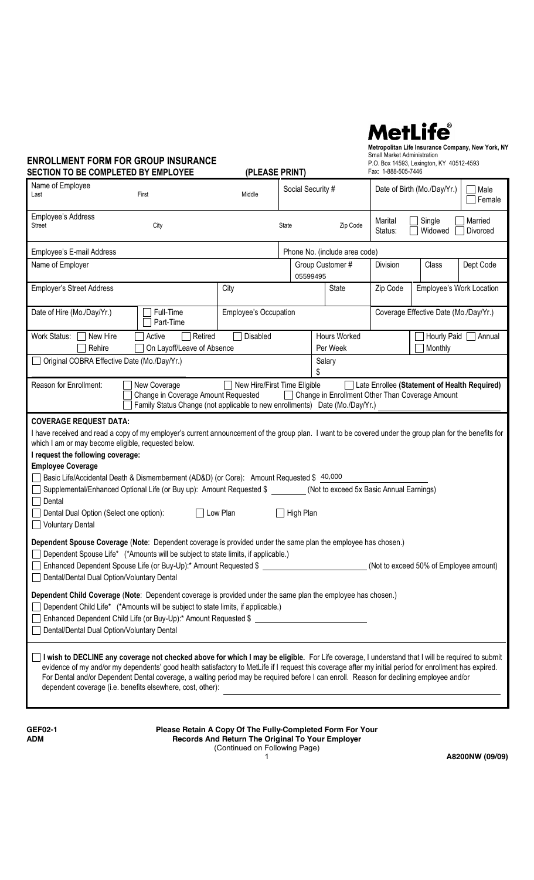# **MetLife**®

**Metropolitan Life Insurance Company, New York, NY** Small Market Administration P.O. Box 14593, Lexington, KY 40512-4593

| <b>ENROLLMENT FORM FOR GROUP INSURANCE</b><br><b>SECTION TO BE COMPLETED BY EMPLOYEE</b>                                                                                                                                                                                                                                                                                                                                                                                                                                                                                                                                  |                                                                                                                                                                                                                                                                                                                                                                                                                                                                                                                     | (PLEASE PRINT)               |                   |                                                            | Small Market Administration<br>Fax: 1-888-505-7446 | P.O. Box 14593, Lexington, KY 40512-4593     |                     |  |
|---------------------------------------------------------------------------------------------------------------------------------------------------------------------------------------------------------------------------------------------------------------------------------------------------------------------------------------------------------------------------------------------------------------------------------------------------------------------------------------------------------------------------------------------------------------------------------------------------------------------------|---------------------------------------------------------------------------------------------------------------------------------------------------------------------------------------------------------------------------------------------------------------------------------------------------------------------------------------------------------------------------------------------------------------------------------------------------------------------------------------------------------------------|------------------------------|-------------------|------------------------------------------------------------|----------------------------------------------------|----------------------------------------------|---------------------|--|
| Name of Employee<br>Last                                                                                                                                                                                                                                                                                                                                                                                                                                                                                                                                                                                                  | First                                                                                                                                                                                                                                                                                                                                                                                                                                                                                                               | Middle                       | Social Security # |                                                            | Date of Birth (Mo./Day/Yr.)                        |                                              | Male<br>Female      |  |
| Employee's Address<br>Street                                                                                                                                                                                                                                                                                                                                                                                                                                                                                                                                                                                              | City                                                                                                                                                                                                                                                                                                                                                                                                                                                                                                                |                              | State             | Zip Code                                                   | Marital<br>Status:                                 | Single<br>Widowed                            | Married<br>Divorced |  |
| Employee's E-mail Address                                                                                                                                                                                                                                                                                                                                                                                                                                                                                                                                                                                                 |                                                                                                                                                                                                                                                                                                                                                                                                                                                                                                                     |                              |                   | Phone No. (include area code)                              |                                                    |                                              |                     |  |
| Name of Employer                                                                                                                                                                                                                                                                                                                                                                                                                                                                                                                                                                                                          |                                                                                                                                                                                                                                                                                                                                                                                                                                                                                                                     |                              | 05599495          | Group Customer #                                           | Division                                           | Class                                        | Dept Code           |  |
| <b>Employer's Street Address</b>                                                                                                                                                                                                                                                                                                                                                                                                                                                                                                                                                                                          |                                                                                                                                                                                                                                                                                                                                                                                                                                                                                                                     | City                         |                   | <b>State</b>                                               | Zip Code                                           | Employee's Work Location                     |                     |  |
| Date of Hire (Mo./Day/Yr.)                                                                                                                                                                                                                                                                                                                                                                                                                                                                                                                                                                                                | Full-Time<br>Part-Time                                                                                                                                                                                                                                                                                                                                                                                                                                                                                              | <b>Employee's Occupation</b> |                   |                                                            |                                                    | Coverage Effective Date (Mo./Day/Yr.)        |                     |  |
| Work Status:<br>New Hire<br>Rehire                                                                                                                                                                                                                                                                                                                                                                                                                                                                                                                                                                                        | Active<br>Retired<br>On Layoff/Leave of Absence                                                                                                                                                                                                                                                                                                                                                                                                                                                                     | Disabled                     |                   | Hours Worked<br>Per Week                                   |                                                    | Hourly Paid   Annual<br>Monthly              |                     |  |
|                                                                                                                                                                                                                                                                                                                                                                                                                                                                                                                                                                                                                           | Original COBRA Effective Date (Mo./Day/Yr.)                                                                                                                                                                                                                                                                                                                                                                                                                                                                         |                              |                   | Salary                                                     |                                                    |                                              |                     |  |
| Reason for Enrollment:                                                                                                                                                                                                                                                                                                                                                                                                                                                                                                                                                                                                    | New Coverage<br>Change in Coverage Amount Requested<br>Family Status Change (not applicable to new enrollments) Date (Mo./Day/Yr.)                                                                                                                                                                                                                                                                                                                                                                                  | New Hire/First Time Eligible |                   | $\perp$<br>Change in Enrollment Other Than Coverage Amount |                                                    | Late Enrollee (Statement of Health Required) |                     |  |
| <b>COVERAGE REQUEST DATA:</b><br>I have received and read a copy of my employer's current announcement of the group plan. I want to be covered under the group plan for the benefits for<br>which I am or may become eligible, requested below.<br>I request the following coverage:<br><b>Employee Coverage</b><br>□ Basic Life/Accidental Death & Dismemberment (AD&D) (or Core): Amount Requested \$ 40,000<br>Supplemental/Enhanced Optional Life (or Buy up): Amount Requested \$ _________ (Not to exceed 5x Basic Annual Earnings)<br>$\Box$ Dental<br>Dental Dual Option (Select one option):<br>Voluntary Dental |                                                                                                                                                                                                                                                                                                                                                                                                                                                                                                                     | $\Box$ Low Plan              | High Plan         |                                                            |                                                    |                                              |                     |  |
| Dependent Spouse Coverage (Note: Dependent coverage is provided under the same plan the employee has chosen.)<br>Dental/Dental Dual Option/Voluntary Dental                                                                                                                                                                                                                                                                                                                                                                                                                                                               | Dependent Spouse Life* (*Amounts will be subject to state limits, if applicable.)<br>Enhanced Dependent Spouse Life (or Buy-Up):* Amount Requested \$                                                                                                                                                                                                                                                                                                                                                               |                              |                   |                                                            |                                                    | (Not to exceed 50% of Employee amount)       |                     |  |
| Dependent Child Coverage (Note: Dependent coverage is provided under the same plan the employee has chosen.)<br>Dental/Dental Dual Option/Voluntary Dental                                                                                                                                                                                                                                                                                                                                                                                                                                                                | Dependent Child Life* (*Amounts will be subject to state limits, if applicable.)<br>Enhanced Dependent Child Life (or Buy-Up):* Amount Requested \$                                                                                                                                                                                                                                                                                                                                                                 |                              |                   |                                                            |                                                    |                                              |                     |  |
|                                                                                                                                                                                                                                                                                                                                                                                                                                                                                                                                                                                                                           | I wish to DECLINE any coverage not checked above for which I may be eligible. For Life coverage, I understand that I will be required to submit<br>evidence of my and/or my dependents' good health satisfactory to MetLife if I request this coverage after my initial period for enrollment has expired.<br>For Dental and/or Dependent Dental coverage, a waiting period may be required before I can enroll. Reason for declining employee and/or<br>dependent coverage (i.e. benefits elsewhere, cost, other): |                              |                   |                                                            |                                                    |                                              |                     |  |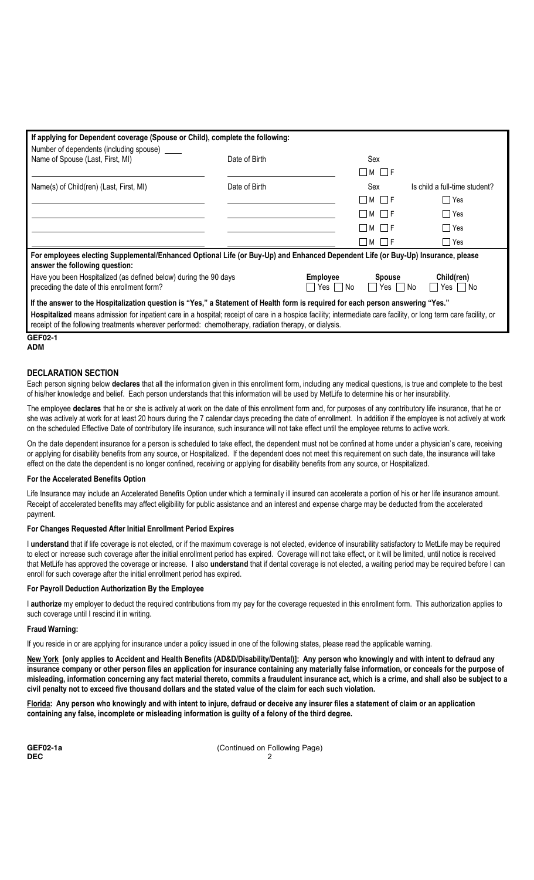| If applying for Dependent coverage (Spouse or Child), complete the following:                                                                                                                                                                                             |               |                       |                                       |                                    |  |  |  |  |
|---------------------------------------------------------------------------------------------------------------------------------------------------------------------------------------------------------------------------------------------------------------------------|---------------|-----------------------|---------------------------------------|------------------------------------|--|--|--|--|
| Number of dependents (including spouse) _____                                                                                                                                                                                                                             |               |                       |                                       |                                    |  |  |  |  |
| Name of Spouse (Last, First, MI)<br>Date of Birth                                                                                                                                                                                                                         |               |                       | Sex                                   |                                    |  |  |  |  |
|                                                                                                                                                                                                                                                                           |               |                       | $\Box$ M $\Box$ F                     |                                    |  |  |  |  |
| Name(s) of Child(ren) (Last, First, MI)                                                                                                                                                                                                                                   | Date of Birth |                       | Sex                                   | Is child a full-time student?      |  |  |  |  |
|                                                                                                                                                                                                                                                                           |               |                       | $\Box$ M $\Box$ F                     | □ Yes                              |  |  |  |  |
|                                                                                                                                                                                                                                                                           |               |                       | $\Box$ M $\Box$ F                     | Yes <sup></sup>                    |  |  |  |  |
|                                                                                                                                                                                                                                                                           |               |                       | M     F                               | l Yes                              |  |  |  |  |
|                                                                                                                                                                                                                                                                           |               |                       | $\Box$ M $\Box$ F                     | $\Box$ Yes                         |  |  |  |  |
| For employees electing Supplemental/Enhanced Optional Life (or Buy-Up) and Enhanced Dependent Life (or Buy-Up) Insurance, please<br>answer the following question:                                                                                                        |               |                       |                                       |                                    |  |  |  |  |
| Have you been Hospitalized (as defined below) during the 90 days<br>preceding the date of this enrollment form?                                                                                                                                                           |               | Employee<br>Yes II No | <b>Spouse</b><br>$\Box$ Yes $\Box$ No | Child(ren)<br>$\Box$ Yes $\Box$ No |  |  |  |  |
| If the answer to the Hospitalization question is "Yes," a Statement of Health form is required for each person answering "Yes."                                                                                                                                           |               |                       |                                       |                                    |  |  |  |  |
| Hospitalized means admission for inpatient care in a hospital; receipt of care in a hospice facility; intermediate care facility, or long term care facility, or<br>receipt of the following treatments wherever performed: chemotherapy, radiation therapy, or dialysis. |               |                       |                                       |                                    |  |  |  |  |
| $\sim$ - - $\sim$ -                                                                                                                                                                                                                                                       |               |                       |                                       |                                    |  |  |  |  |

#### **GEF02-1 ADM**

## **DECLARATION SECTION**

Each person signing below **declares** that all the information given in this enrollment form, including any medical questions, is true and complete to the best of his/her knowledge and belief. Each person understands that this information will be used by MetLife to determine his or her insurability.

The employee **declares** that he or she is actively at work on the date of this enrollment form and, for purposes of any contributory life insurance, that he or she was actively at work for at least 20 hours during the 7 calendar days preceding the date of enrollment. In addition if the employee is not actively at work on the scheduled Effective Date of contributory life insurance, such insurance will not take effect until the employee returns to active work.

On the date dependent insurance for a person is scheduled to take effect, the dependent must not be confined at home under a physician's care, receiving or applying for disability benefits from any source, or Hospitalized. If the dependent does not meet this requirement on such date, the insurance will take effect on the date the dependent is no longer confined, receiving or applying for disability benefits from any source, or Hospitalized.

### **For the Accelerated Benefits Option**

Life Insurance may include an Accelerated Benefits Option under which a terminally ill insured can accelerate a portion of his or her life insurance amount. Receipt of accelerated benefits may affect eligibility for public assistance and an interest and expense charge may be deducted from the accelerated payment.

### **For Changes Requested After Initial Enrollment Period Expires**

I **understand** that if life coverage is not elected, or if the maximum coverage is not elected, evidence of insurability satisfactory to MetLife may be required to elect or increase such coverage after the initial enrollment period has expired. Coverage will not take effect, or it will be limited, until notice is received that MetLife has approved the coverage or increase. I also **understand** that if dental coverage is not elected, a waiting period may be required before I can enroll for such coverage after the initial enrollment period has expired.

### **For Payroll Deduction Authorization By the Employee**

I **authorize** my employer to deduct the required contributions from my pay for the coverage requested in this enrollment form. This authorization applies to such coverage until I rescind it in writing.

### **Fraud Warning:**

If you reside in or are applying for insurance under a policy issued in one of the following states, please read the applicable warning.

**New York [only applies to Accident and Health Benefits (AD&D/Disability/Dental)]: Any person who knowingly and with intent to defraud any insurance company or other person files an application for insurance containing any materially false information, or conceals for the purpose of misleading, information concerning any fact material thereto, commits a fraudulent insurance act, which is a crime, and shall also be subject to a civil penalty not to exceed five thousand dollars and the stated value of the claim for each such violation.**

**Florida: Any person who knowingly and with intent to injure, defraud or deceive any insurer files a statement of claim or an application containing any false, incomplete or misleading information is guilty of a felony of the third degree.**